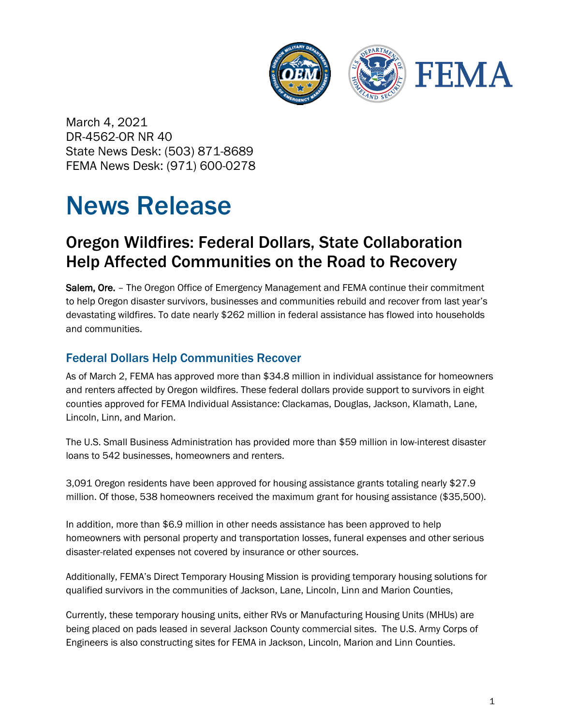

March 4, 2021 DR-4562-OR NR 40 State News Desk: (503) 871-8689 FEMA News Desk: (971) 600-0278

# News Release

## Oregon Wildfires: Federal Dollars, State Collaboration Help Affected Communities on the Road to Recovery

Salem, Ore. - The Oregon Office of Emergency Management and FEMA continue their commitment to help Oregon disaster survivors, businesses and communities rebuild and recover from last year's devastating wildfires. To date nearly \$262 million in federal assistance has flowed into households and communities.

### Federal Dollars Help Communities Recover

As of March 2, FEMA has approved more than \$34.8 million in individual assistance for homeowners and renters affected by Oregon wildfires. These federal dollars provide support to survivors in eight counties approved for FEMA Individual Assistance: Clackamas, Douglas, Jackson, Klamath, Lane, Lincoln, Linn, and Marion.

The U.S. Small Business Administration has provided more than \$59 million in low-interest disaster loans to 542 businesses, homeowners and renters.

3,091 Oregon residents have been approved for housing assistance grants totaling nearly \$27.9 million. Of those, 538 homeowners received the maximum grant for housing assistance (\$35,500).

In addition, more than \$6.9 million in other needs assistance has been approved to help homeowners with personal property and transportation losses, funeral expenses and other serious disaster-related expenses not covered by insurance or other sources.

Additionally, FEMA's Direct Temporary Housing Mission is providing temporary housing solutions for qualified survivors in the communities of Jackson, Lane, Lincoln, Linn and Marion Counties,

Currently, these temporary housing units, either RVs or Manufacturing Housing Units (MHUs) are being placed on pads leased in several Jackson County commercial sites. The U.S. Army Corps of Engineers is also constructing sites for FEMA in Jackson, Lincoln, Marion and Linn Counties.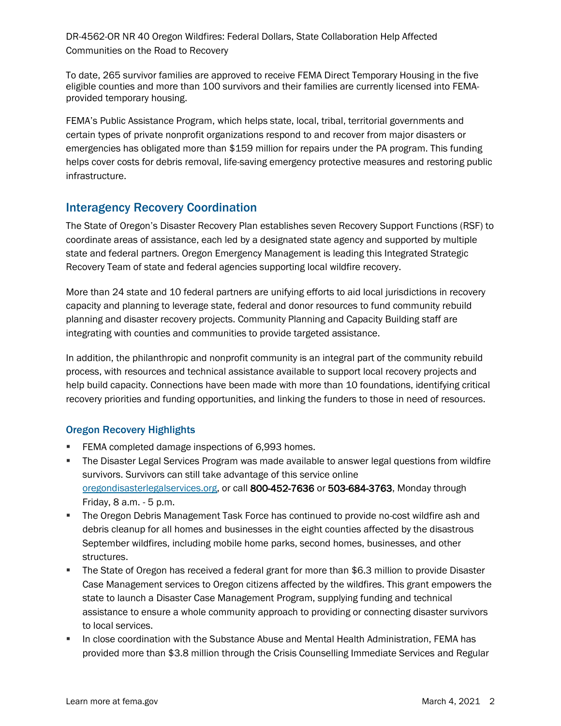DR-4562-OR NR 40 Oregon Wildfires: Federal Dollars, State Collaboration Help Affected Communities on the Road to Recovery

To date, 265 survivor families are approved to receive FEMA Direct Temporary Housing in the five eligible counties and more than 100 survivors and their families are currently licensed into FEMAprovided temporary housing.

FEMA's Public Assistance Program, which helps state, local, tribal, territorial governments and certain types of private nonprofit organizations respond to and recover from major disasters or emergencies has obligated more than \$159 million for repairs under the PA program. This funding helps cover costs for debris removal, life-saving emergency protective measures and restoring public infrastructure.

#### Interagency Recovery Coordination

The State of Oregon's Disaster Recovery Plan establishes seven Recovery Support Functions (RSF) to coordinate areas of assistance, each led by a designated state agency and supported by multiple state and federal partners. Oregon Emergency Management is leading this Integrated Strategic Recovery Team of state and federal agencies supporting local wildfire recovery.

More than 24 state and 10 federal partners are unifying efforts to aid local jurisdictions in recovery capacity and planning to leverage state, federal and donor resources to fund community rebuild planning and disaster recovery projects. Community Planning and Capacity Building staff are integrating with counties and communities to provide targeted assistance.

In addition, the philanthropic and nonprofit community is an integral part of the community rebuild process, with resources and technical assistance available to support local recovery projects and help build capacity. Connections have been made with more than 10 foundations, identifying critical recovery priorities and funding opportunities, and linking the funders to those in need of resources.

#### Oregon Recovery Highlights

- **FEMA completed damage inspections of 6,993 homes.**
- **The Disaster Legal Services Program was made available to answer legal questions from wildfire** survivors. Survivors can still take advantage of this service online [oregondisasterlegalservices.org,](https://usfema.sharepoint.com/teams/R10ORAEXA/EA_Projects/Projects/2020%20-%20Oregon%20Fires/oregondisasterlegalservices.org) or call 800-452-7636 or 503-684-3763, Monday through Friday, 8 a.m. - 5 p.m.
- The Oregon Debris Management Task Force has continued to provide no-cost wildfire ash and debris cleanup for all homes and businesses in the eight counties affected by the disastrous September wildfires, including mobile home parks, second homes, businesses, and other structures.
- The State of Oregon has received a federal grant for more than \$6.3 million to provide Disaster Case Management services to Oregon citizens affected by the wildfires. This grant empowers the state to launch a Disaster Case Management Program, supplying funding and technical assistance to ensure a whole community approach to providing or connecting disaster survivors to local services.
- In close coordination with the Substance Abuse and Mental Health Administration, FEMA has provided more than \$3.8 million through the Crisis Counselling Immediate Services and Regular